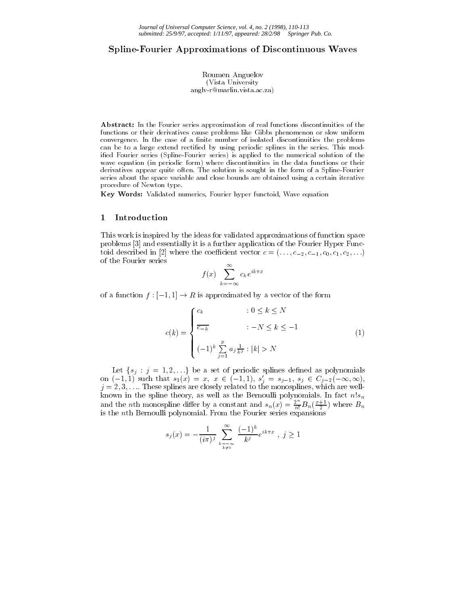## Spline-Fourier Approximations of Discontinuous Waves

Roumen Anguelov (Vista University anglv-r@marlin.vista.ac.za)

Abstract: In the Fourier series approximation of real functions discontinuities of the functions or their derivatives cause problems like Gibbs phenomenon or slow uniform convergence. In the case of a finite number of isolated discontinuities the problems can be to a large extend rectified by using periodic splines in the series. This modied Fourier series (Spline-Fourier series) is applied to the numerical solution of the wave equation (in periodic form) where discontinuities in the data functions or their derivatives appear quite often. The solution is sought in the form of a Spline-Fourier series about the space variable and close bounds are obtained using a certain iterative procedure of Newton type.

Key Words: Validated numerics, Fourier hyper functoid, Wave equation

#### <sup>1</sup> Introduction

This work is inspired by the ideas for validated approximations of function space problems [3] and essentially it is a further application of the Fourier Hyper Functoid described in [2] where the coefficient vector  $c = (..., c_{-2}, c_{-1}, c_0, c_1, c_2,...)$ of the Fourier series

$$
f(x) \sum_{k=-\infty}^{\infty} c_k e^{ik\pi x}
$$

of a function  $f : [-1, 1] \to R$  is approximated by a vector of the form

$$
c(k) = \begin{cases} c_k & : 0 \le k \le N \\ \frac{\overline{c_{-k}}}{(-1)^k} & : -N \le k \le -1 \\ (-1)^k \sum_{j=1}^p a_j \frac{1}{k^j} : |k| > N \end{cases}
$$
(1)

Let <sup>f</sup>sj : <sup>j</sup> <sup>=</sup> 1; 2;:::g be <sup>a</sup> set of periodic splines dened as polynomials on  $(-1, 1)$  such that  $s_1(x) = x, x \in (-1, 1), s_j = s_{j-1}, s_j \in C_{j-2}(-\infty, \infty)$ , j = 2; 3;:::. These splines are closely related to the monosplines, which are wellknown in the spline theory, as well as the Bernoulli polynomials. In fact  $n!s_n$ and the *n*th monospline differ by a constant and  $s_n(x) = \frac{2^n}{n!} B_n(\frac{x+1}{2})$  where  $B_n$ is the nth Bernoulli polynomial. From the Fourier series expansions

$$
s_j(x) = -\frac{1}{(i\pi)^j} \sum_{\substack{k=-\infty\\k\neq 0}}^{\infty} \frac{(-1)^k}{k^j} e^{ik\pi x}, \ j \ge 1
$$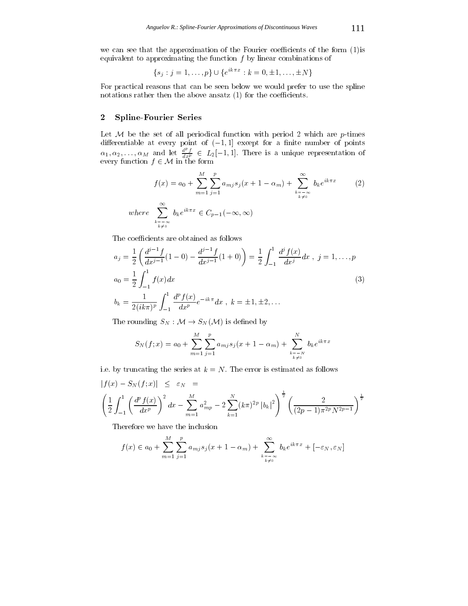we can see that the approximation of the Fourier coefficients of the form  $(1)$  is equivalent to approximating the function  $f$  by linear combinations of

$$
\{s_j : j = 1, \ldots, p\} \cup \{e^{ik\pi x} : k = 0, \pm 1, \ldots, \pm N\}
$$

For practical reasons that can be seen below we would prefer to use the spline notations rather then the above ansatz  $(1)$  for the coefficients.

# <sup>2</sup> Spline-Fourier Series

Let M be the set of all periodical function with period <sup>2</sup> which are p-times  $\alpha_1, \alpha_2, \ldots, \alpha_M$  and let  $\frac{d^p f}{dx^p} \in L_2[-1, 1]$ . There is a unique representation of every function  $f$  2 M in the form form

$$
f(x) = a_0 + \sum_{m=1}^{M} \sum_{j=1}^{p} a_{mj} s_j (x + 1 - \alpha_m) + \sum_{\substack{k=-\infty\\k \neq 0}}^{\infty} b_k e^{ik\pi x}
$$
 (2)  
where 
$$
\sum_{\substack{k=-\infty\\k \neq 0}}^{\infty} b_k e^{ik\pi x} \in C_{p-1}(-\infty, \infty)
$$

The coefficients are obtained as follows

$$
a_j = \frac{1}{2} \left( \frac{d^{j-1} f}{dx^{j-1}} (1 - 0) - \frac{d^{j-1} f}{dx^{j-1}} (1 + 0) \right) = \frac{1}{2} \int_{-1}^{1} \frac{d^j f(x)}{dx^j} dx , \ j = 1, ..., p
$$
  
\n
$$
a_0 = \frac{1}{2} \int_{-1}^{1} f(x) dx
$$
  
\n
$$
b_k = \frac{1}{2 (ik\pi)^p} \int_{-1}^{1} \frac{d^p f(x)}{dx^p} e^{-ik\pi} dx , \ k = \pm 1, \pm 2, ...
$$
\n(3)

The rounding  $S_N : \mathcal{M} \to S_N(\mathcal{M})$  is defined by

$$
S_N(f; x) = a_0 + \sum_{m=1}^{M} \sum_{j=1}^{p} a_{mj} s_j(x + 1 - \alpha_m) + \sum_{\substack{k=-N \ k \neq 0}}^{N} b_k e^{ik\pi x}
$$

i.e. by truncating the series at  $k = N$ . The error is estimated as follows

$$
|f(x) - S_N(f; x)| \leq \varepsilon_N =
$$
  

$$
\left(\frac{1}{2} \int_{-1}^1 \left(\frac{d^p f(x)}{dx^p}\right)^2 dx - \sum_{m=1}^M a_{mp}^2 - 2 \sum_{k=1}^N (k\pi)^{2p} |b_k|^2\right)^{\frac{1}{2}} \left(\frac{2}{(2p-1)\pi^{2p} N^{2p-1}}\right)^{\frac{1}{2}}
$$

Therefore we have the inclusion

$$
f(x) \in a_0 + \sum_{m=1}^{M} \sum_{j=1}^{p} a_{mj} s_j(x+1-\alpha_m) + \sum_{\substack{k=-\infty\\k \neq 0}}^{\infty} b_k e^{ik\pi x} + [-\varepsilon_N, \varepsilon_N]
$$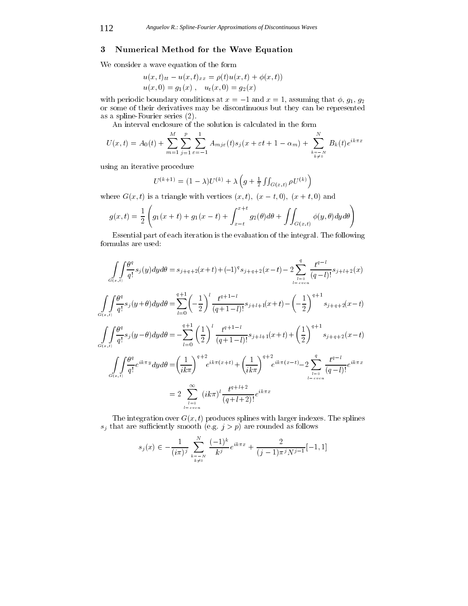## <sup>3</sup> Numerical Method for the Wave Equation

We consider a wave equation of the form

$$
u(x,t)_{tt} - u(x,t)_{xx} = \rho(t)u(x,t) + \phi(x,t))
$$
  
 
$$
u(x,0) = g_1(x), \quad u_t(x,0) = g_2(x)
$$

with periodic boundary conditions at  $x = -1$  and  $x = 1$ , assuming that  $\phi$ ,  $g_1$ ,  $g_2$ or some of their derivatives may be discontinuous but they can be represented as a spline-Fourier series (2).

An interval enclosure of the solution is calculated in the form

$$
U(x,t) = A_0(t) + \sum_{m=1}^{M} \sum_{j=1}^{p} \sum_{\varepsilon=-1}^{1} A_{mj\varepsilon}(t) s_j(x+\varepsilon t + 1 - \alpha_m) + \sum_{\substack{k=-N \\ k \neq 0}}^{N} B_k(t) e^{ik\pi x}
$$

using an iterative procedure

$$
U^{(k+1)} = (1 - \lambda)U^{(k)} + \lambda \left( g + \frac{1}{2} \iint_{G(x,t)} \rho U^{(k)} \right)
$$

where  $G(x, t)$  is a triangle with vertices  $(x, t)$ ,  $(x - t, 0)$ ,  $(x + t, 0)$  and

$$
g(x,t) = \frac{1}{2} \left( g_1(x+t) + g_1(x-t) + \int_{x-t}^{x+t} g_2(\theta) d\theta + \iint_{G(x,t)} \phi(y,\theta) dy d\theta \right)
$$

Essential part of each iteration is the evaluation of the integral. The following formulas are used:

$$
\iint_{G(x,t)} \frac{\theta^{q}}{q!} s_{j}(y) dy d\theta = s_{j+q+2}(x+t) + (-1)^{q} s_{j+q+2}(x-t) - 2 \sum_{l=0}^{q} \frac{t^{q-l}}{(q-l)!} s_{j+l+2}(x)
$$
\n
$$
\iint_{G(x,t)} \frac{\theta^{q}}{q!} s_{j}(y+\theta) dy d\theta = \sum_{l=0}^{q+1} \left(-\frac{1}{2}\right)^{l} \frac{t^{q+1-l}}{(q+1-l)!} s_{j+l+1}(x+t) - \left(-\frac{1}{2}\right)^{q+1} s_{j+q+2}(x-t)
$$
\n
$$
\iint_{G(x,t)} \frac{\theta^{q}}{q!} s_{j}(y-\theta) dy d\theta = -\sum_{l=0}^{q+1} \left(\frac{1}{2}\right)^{l} \frac{t^{q+1-l}}{(q+1-l)!} s_{j+l+1}(x+t) + \left(\frac{1}{2}\right)^{q+1} s_{j+q+2}(x-t)
$$
\n
$$
\iint_{G(x,t)} \frac{\theta^{q}}{q!} e^{ik\pi y} dy d\theta = \left(\frac{1}{ik\pi}\right)^{q+2} e^{ik\pi(x+t)} + \left(\frac{1}{ik\pi}\right)^{q+2} e^{ik\pi(x-t)} - 2 \sum_{l=0}^{q} \frac{t^{q-l}}{(q-l)!} e^{ik\pi x}
$$
\n
$$
= 2 \sum_{l=v\text{ even}}^{\infty} (ik\pi)^{l} \frac{t^{q+l+2}}{(q+l+2)!} e^{ik\pi x}
$$

The integration over  $G(x, t)$  produces splines with larger indexes. The splines  $s_j$  that are sufficiently smooth (e.g.  $j>p$ ) are rounded as follows

$$
s_j(x) \in -\frac{1}{(i\pi)^j} \sum_{\substack{k=-N\\k\neq 0}}^N \frac{(-1)^k}{k^j} e^{ik\pi x} + \frac{2}{(j-1)\pi^j N^{j-1}}[-1,1]
$$